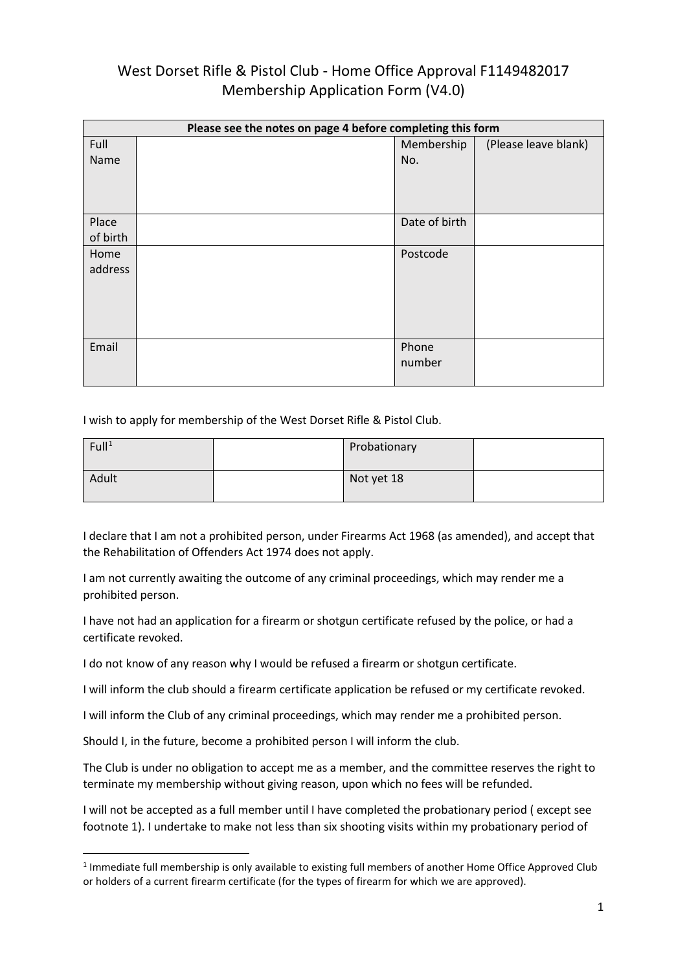| Please see the notes on page 4 before completing this form |  |               |                      |
|------------------------------------------------------------|--|---------------|----------------------|
| Full                                                       |  | Membership    | (Please leave blank) |
| Name                                                       |  | No.           |                      |
|                                                            |  |               |                      |
|                                                            |  |               |                      |
|                                                            |  |               |                      |
| Place                                                      |  | Date of birth |                      |
| of birth                                                   |  |               |                      |
| Home                                                       |  | Postcode      |                      |
| address                                                    |  |               |                      |
|                                                            |  |               |                      |
|                                                            |  |               |                      |
|                                                            |  |               |                      |
|                                                            |  |               |                      |
| Email                                                      |  | Phone         |                      |
|                                                            |  | number        |                      |
|                                                            |  |               |                      |

I wish to apply for membership of the West Dorset Rifle & Pistol Club.

| Full <sup>1</sup> | Probationary |  |
|-------------------|--------------|--|
| Adult             | Not yet 18   |  |

I declare that I am not a prohibited person, under Firearms Act 1968 (as amended), and accept that the Rehabilitation of Offenders Act 1974 does not apply.

I am not currently awaiting the outcome of any criminal proceedings, which may render me a prohibited person.

I have not had an application for a firearm or shotgun certificate refused by the police, or had a certificate revoked.

I do not know of any reason why I would be refused a firearm or shotgun certificate.

I will inform the club should a firearm certificate application be refused or my certificate revoked.

I will inform the Club of any criminal proceedings, which may render me a prohibited person.

Should I, in the future, become a prohibited person I will inform the club.

The Club is under no obligation to accept me as a member, and the committee reserves the right to terminate my membership without giving reason, upon which no fees will be refunded.

I will not be accepted as a full member until I have completed the probationary period ( except see footnote 1). I undertake to make not less than six shooting visits within my probationary period of

<span id="page-0-0"></span><sup>1</sup> Immediate full membership is only available to existing full members of another Home Office Approved Club or holders of a current firearm certificate (for the types of firearm for which we are approved).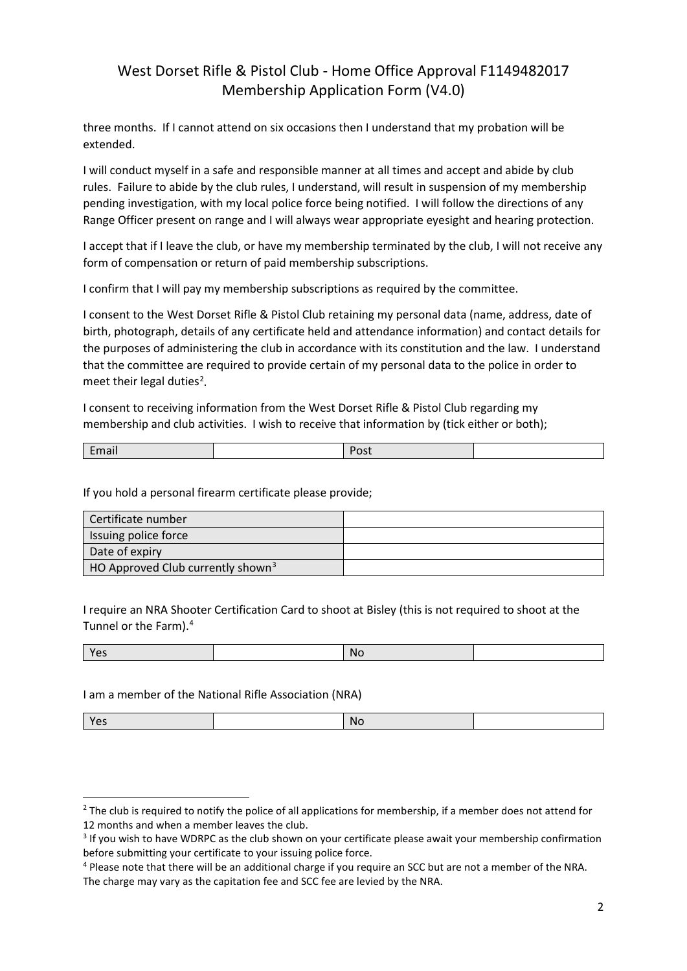three months. If I cannot attend on six occasions then I understand that my probation will be extended.

I will conduct myself in a safe and responsible manner at all times and accept and abide by club rules. Failure to abide by the club rules, I understand, will result in suspension of my membership pending investigation, with my local police force being notified. I will follow the directions of any Range Officer present on range and I will always wear appropriate eyesight and hearing protection.

I accept that if I leave the club, or have my membership terminated by the club, I will not receive any form of compensation or return of paid membership subscriptions.

I confirm that I will pay my membership subscriptions as required by the committee.

I consent to the West Dorset Rifle & Pistol Club retaining my personal data (name, address, date of birth, photograph, details of any certificate held and attendance information) and contact details for the purposes of administering the club in accordance with its constitution and the law. I understand that the committee are required to provide certain of my personal data to the police in order to meet their legal duties<sup>[2](#page-1-0)</sup>.

I consent to receiving information from the West Dorset Rifle & Pistol Club regarding my membership and club activities. I wish to receive that information by (tick either or both);

If you hold a personal firearm certificate please provide;

| Certificate number                            |  |
|-----------------------------------------------|--|
| Issuing police force                          |  |
| Date of expiry                                |  |
| HO Approved Club currently shown <sup>3</sup> |  |

I require an NRA Shooter Certification Card to shoot at Bisley (this is not required to shoot at the Tunnel or the Farm).[4](#page-1-2)

|--|

I am a member of the National Rifle Association (NRA)

| $\sim$<br>.<br>$\tilde{}$ | .Nr |  |
|---------------------------|-----|--|
|                           |     |  |

<span id="page-1-0"></span><sup>&</sup>lt;sup>2</sup> The club is required to notify the police of all applications for membership, if a member does not attend for 12 months and when a member leaves the club.

<span id="page-1-1"></span><sup>&</sup>lt;sup>3</sup> If you wish to have WDRPC as the club shown on your certificate please await your membership confirmation before submitting your certificate to your issuing police force.

<span id="page-1-2"></span><sup>4</sup> Please note that there will be an additional charge if you require an SCC but are not a member of the NRA. The charge may vary as the capitation fee and SCC fee are levied by the NRA.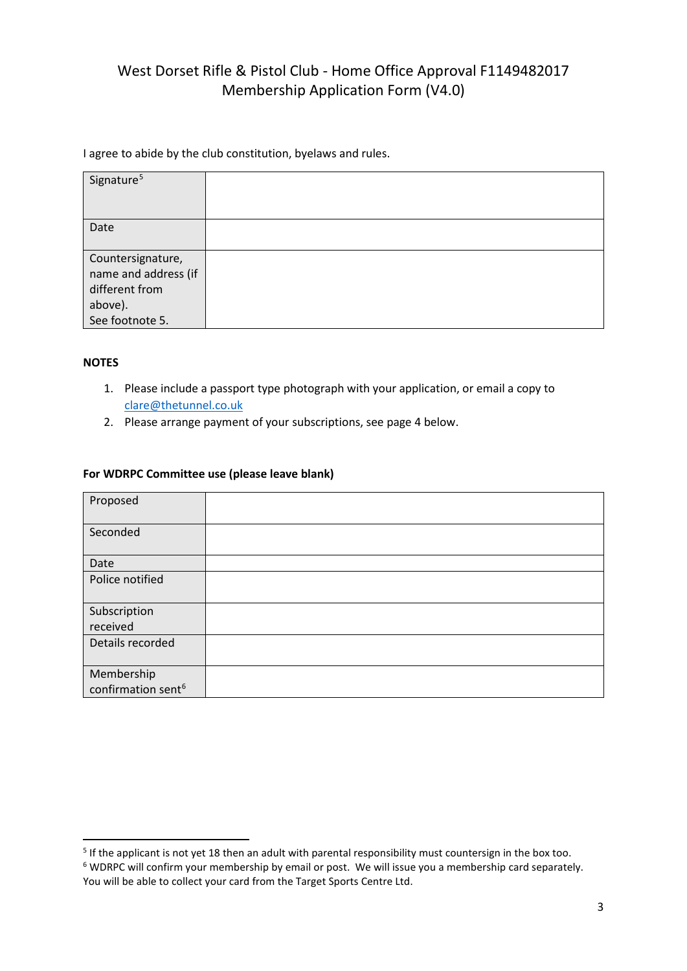I agree to abide by the club constitution, byelaws and rules.

| Signature <sup>5</sup> |  |
|------------------------|--|
| Date                   |  |
|                        |  |
| Countersignature,      |  |
| name and address (if   |  |
| different from         |  |
| above).                |  |
| See footnote 5.        |  |

### **NOTES**

- 1. Please include a passport type photograph with your application, or email a copy to [clare@thetunnel.co.uk](mailto:clare@thetunnel.co.uk)
- 2. Please arrange payment of your subscriptions, see page 4 below.

#### **For WDRPC Committee use (please leave blank)**

| Proposed                                     |  |
|----------------------------------------------|--|
| Seconded                                     |  |
| Date                                         |  |
| Police notified                              |  |
| Subscription<br>received                     |  |
| Details recorded                             |  |
| Membership<br>confirmation sent <sup>6</sup> |  |

<span id="page-2-1"></span><span id="page-2-0"></span><sup>&</sup>lt;sup>5</sup> If the applicant is not yet 18 then an adult with parental responsibility must countersign in the box too. <sup>6</sup> WDRPC will confirm your membership by email or post. We will issue you a membership card separately. You will be able to collect your card from the Target Sports Centre Ltd.